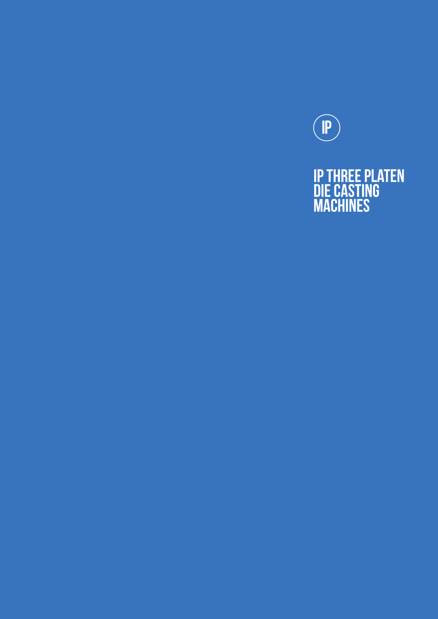

### IP three platen die casting **MACHINES**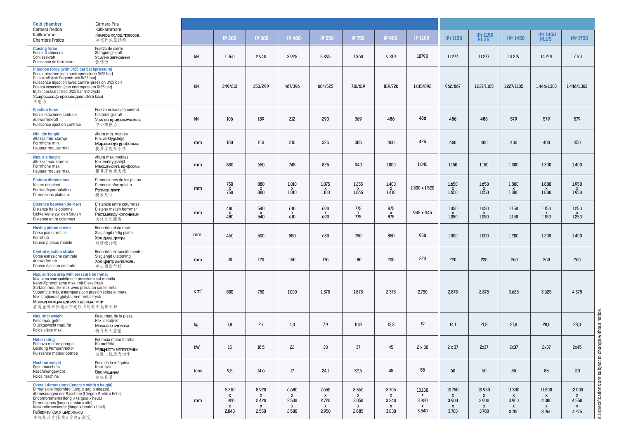All specifications are subject to change without notice. All specifications are subject to change without notice.

| <b>Cold chamber</b><br>Camera fredda                                                                                                                                                                                                                                                                                                                  | Cámara Fría<br>Kallkammare<br>Камера холод.прессов.<br>冷室卧式压铸机                        |            |                                                  |                                                         |                                                                                   |                                                         |                                                                      |                                                         |                                                            |                                                            |                                                          |                                    |                                               |                                                          |  |  |
|-------------------------------------------------------------------------------------------------------------------------------------------------------------------------------------------------------------------------------------------------------------------------------------------------------------------------------------------------------|---------------------------------------------------------------------------------------|------------|--------------------------------------------------|---------------------------------------------------------|-----------------------------------------------------------------------------------|---------------------------------------------------------|----------------------------------------------------------------------|---------------------------------------------------------|------------------------------------------------------------|------------------------------------------------------------|----------------------------------------------------------|------------------------------------|-----------------------------------------------|----------------------------------------------------------|--|--|
| Kaltkammer<br><b>Chambre Froide</b>                                                                                                                                                                                                                                                                                                                   |                                                                                       |            | <b>IP 200</b>                                    | <b>IP 300</b>                                           | <b>IP 400</b>                                                                     | <b>IP 550</b>                                           | <b>IP 750</b>                                                        | <b>IP 900</b>                                           | <b>IP 1100</b>                                             | <b>IPr 1150</b>                                            | <b>IPr 1150</b><br><b>PLUS</b>                           | <b>IPr 1450</b>                    | <b>IPr 1450</b><br><b>PLUS</b>                | <b>IPr 1750</b>                                          |  |  |
| <b>Closing force</b><br>Forza di chiusura<br>Schliesskraft<br>Puissance de fermeture                                                                                                                                                                                                                                                                  | Fuerza de cierre<br>Stängningskraft<br>Усилие запирания<br>锁模力                        | kN         | 1.960                                            | 2.940                                                   | 3.925                                                                             | 5.395                                                   | 7.360                                                                | 9.319                                                   | 10790                                                      | 11.277                                                     | 11.277                                                   | 14.219                             | 14.219                                        | 17.161                                                   |  |  |
| Injection force (with 0/25 bar backpressure)<br>Forza iniezione (con contropressione 0/25 bar)<br>Giesskraft (mit Gegendruck 0/25 bar)<br>Puissance injection (avec contre-pression 0/25 bar)<br>Fuerza inyección (con contrapresion 0/25 bar)<br>Injektionskraft (med 0/25 bar mottryck)<br>Ус. прессов. (с противодавл. 0/25 бар)<br>压射力            |                                                                                       | kN         | 249/213                                          | 353/299                                                 | 467/396                                                                           | 604/525                                                 | 710/619                                                              | 819/720                                                 | 1.015/892                                                  | 962/867                                                    | 1.227/1.105                                              | 1.227/1.105                        | 1.446/1.303                                   | 1.446/1.303                                              |  |  |
| <b>Ejection force</b><br>Forza estrazione centrale<br>Auswerferkraft<br>Puissance éjection centrale                                                                                                                                                                                                                                                   | Fuerza extracción central<br>Utstötningskraft<br>Усилие центр.выталкив.<br>中心顶出力      | kN         | 106                                              | 189                                                     | 212                                                                               | 290                                                     | 369                                                                  | 486                                                     | 486                                                        | 486                                                        | 486                                                      | 579                                | 579                                           | 579                                                      |  |  |
| Min. die height<br>Altezza min. stampi<br>Formhöhe min.<br>Hauteur moules min.                                                                                                                                                                                                                                                                        | Altura min. moldes<br>Min. verktygshöjd<br>Мин.высота пр-формы<br>模具厚度最小值             | mm         | 180                                              | 210                                                     | 210                                                                               | 325                                                     | 385                                                                  | 400                                                     | 425                                                        | 400                                                        | 400                                                      | 400                                | 400                                           | 450                                                      |  |  |
| Max. die height<br>Altezza max. stampi<br>Formhöhe max.<br>Hauteur moules max.                                                                                                                                                                                                                                                                        | Altura máx. moldes<br>Max. verktygshöjd<br>Макс высота пр-формы<br>模具厚度最大值            | mm         | 530                                              | 650                                                     | 745                                                                               | 825                                                     | 940                                                                  | 1.000                                                   | 1.040                                                      | 1.150                                                      | 1.150                                                    | 1.300                              | 1.300                                         | 1.400                                                    |  |  |
| <b>Platens dimensions</b><br>Misure dei piani<br>Formaufspannplatten<br>Dimensions plateaux                                                                                                                                                                                                                                                           | Dimensiones de los platos<br>Dimensionformplatta<br>Размер плит<br>模板尺寸               | mm         | 750<br>750                                       | 880<br>$\begin{array}{c} 8 \ \text{B} \ 80 \end{array}$ | $1.010\,$<br>$_{1.010}^{\text{X}}$                                                | 1.075<br>$\chi$ <sub>1.100</sub>                        | 1.255<br>$\begin{array}{c} 0.8 \ \text{1.265} \end{array}$           | 1.400<br>$\chi$ <sub>1.410</sub>                        | 1.500 x 1.520                                              | 1.650<br>$\chi$ <sub>1.650</sub>                           | 1.650<br>$\chi$ <sub>1.650</sub>                         | 1.800<br>1.600                     | 1.800<br>$\chi$ 1.800                         | 1.950<br>$\frac{x}{1.950}$                               |  |  |
| <b>Distance between tie-bars</b><br>Distanza fra le colonne<br>Lichte Weite zw. den Säulen<br>Distance entre colonnes                                                                                                                                                                                                                                 | Distancia entre columnas<br>Distans mellan bommar<br>Раст.между колоннами<br>大杆之间距离   | mm         | 480<br>$\frac{x}{480}$                           | 540<br>$\frac{x}{540}$                                  | 610<br>$\overset{\text{X}}{010}$                                                  | 690<br>$\delta_{90}^{\rm X}$                            | 775<br>$\frac{x}{775}$                                               | 875<br>$_{875}^{\text{X}}$                              | 945 x 945                                                  | 1.050<br>$_{1.050}^{\text{X}}$                             | 1.050<br>$\overline{1.050}$                              | 1.150<br>1.150                     | 1.150<br>$\chi$ <sub>1.150</sub>              | 1.250<br>$_{1.250}^{\text{X}}$                           |  |  |
| <b>Moving platen stroke</b><br>Corsa piano mobile<br>Formhub<br>Course plateau mobile                                                                                                                                                                                                                                                                 | Recorrido plato móvil<br>Slaglängd rörlig piatta<br>Ход подв.плиты<br>动模板行程           | mm         | 460                                              | 500                                                     | 550                                                                               | 630                                                     | 750                                                                  | 850                                                     | 950                                                        | 1.000                                                      | 1.000                                                    | 1.200                              | 1.200                                         | 1.400                                                    |  |  |
| <b>Central ejection stroke</b><br>Corsa estrazione centrale<br>Auswerferhub<br>Course éjection centrale                                                                                                                                                                                                                                               | Recorrido extracción central<br>Slaglängd utstötning<br>Ход центр.выталкив.<br>中心顶出行程 | mm         | 90                                               | 120                                                     | 150                                                                               | 170                                                     | 180                                                                  | 200                                                     | 220                                                        | 220                                                        | 220                                                      | 260                                | 260                                           | 260                                                      |  |  |
| Max. surface area with pressure on metal<br>Max. area stampabile con pressione sul metallo<br>Nenn-Sprengflache max. mit Giessdruck<br>Surface moulée max. avec pressi an sur le metal<br>Superficie màx. estampada con presión sobre el metal<br>Max. projicerad gjutyta med metalltryck<br>Макс.проекция штамп.с давл.на мет<br>在对金属液体施加下述压力时最大投影面积 |                                                                                       | $\rm cm^2$ | 500                                              | 750                                                     | 1.000                                                                             | 1.375                                                   | 1.875                                                                | 2.375                                                   | 2.750                                                      | 2.875                                                      | 2.875                                                    | 3.625                              | 3.625                                         | 4.375                                                    |  |  |
| <b>Max. shot weight</b><br>Peso max. getto<br>Stückgewicht max. für<br>Poids pièce max.                                                                                                                                                                                                                                                               | Peso màx. de la pieza<br>Max. detaljvikt<br>Макс.вес отливки<br>铸件最大重量                | kg         | 1,8                                              | 2,7                                                     | 4,3                                                                               | 7,9                                                     | 10,8                                                                 | 13,3                                                    | 19                                                         | 14,1                                                       | 21,8                                                     | 21,8                               | 28,0                                          | 28,0                                                     |  |  |
| <b>Motor rating</b><br>Potenza motore pompa<br>Leistung Pumpenmotor<br>Puissance moteur pompe                                                                                                                                                                                                                                                         | Potencia motor bomba<br>Motoreffekt<br>Мощность мотопомпы<br>油泵电机最大功率                 | kW         | 15 <sup>°</sup>                                  | 18,5                                                    | 22                                                                                | 30                                                      | 37                                                                   | 45                                                      | $2 \times 30$                                              | $2 \times 37$                                              | 2x37                                                     | 2x37                               | 2x37                                          | 2x45                                                     |  |  |
| <b>Machine weight</b><br>Peso macchina<br>Maschinengewicht<br>Poids machine                                                                                                                                                                                                                                                                           | Peso de la máquina<br>Maskinvikt<br>Вес машины<br>主机总量                                | tons       | 9,5                                              | 14,6                                                    | 17                                                                                | 24,1                                                    | 32,6                                                                 | 45                                                      | 55                                                         | 60                                                         | 60                                                       | 85                                 | 85                                            | $110\,$                                                  |  |  |
| <b>Overall dimensions (lenght x width x height)</b><br>Dimensioni ingombro (lung. x larg. x altezza)<br>Abmessungen der Maschine (Länge x Breite x Höhe)<br>Encombrements (long. x largeur x haut.)<br>Dimensiones (largo x ancho x alto)<br>Maskindimensioner (längd x bredd x höjd)<br>Габариты (дл.х шир.хвыс.)<br>主机总尺寸(长度x宽度x高度)                 |                                                                                       | mm         | 5.210<br>$\boldsymbol{X}$<br>1.920<br>X<br>2.040 | 5.920<br>$\mathsf{x}$<br>2.420<br>X<br>2.550            | 6.680<br>$\boldsymbol{\mathsf{x}}$<br>2.530<br>$\boldsymbol{\mathsf{x}}$<br>2.580 | 7.650<br>$\mathsf{x}$<br>2.720<br>$\mathsf{x}$<br>2.950 | 8.560<br>$\mathsf{x}$<br>3.050<br>$\boldsymbol{\mathsf{X}}$<br>2.885 | 8.705<br>$\mathsf{X}$<br>3.340<br>$\mathsf{X}$<br>3.030 | 10.100<br>X<br>3.920<br>$\boldsymbol{\mathsf{x}}$<br>3.540 | 10.750<br>$\boldsymbol{\mathsf{x}}$<br>3.900<br>X<br>3.700 | 10.950<br>$\mathsf{x}$<br>3.900<br>$\mathsf{x}$<br>3.700 | 11.300<br>X<br>3.900<br>X<br>3.700 | 11.500<br>$\mathsf{x}$<br>4.380<br>X<br>3.960 | 12.000<br>$\mathsf{x}$<br>4.550<br>$\mathsf{X}$<br>4.275 |  |  |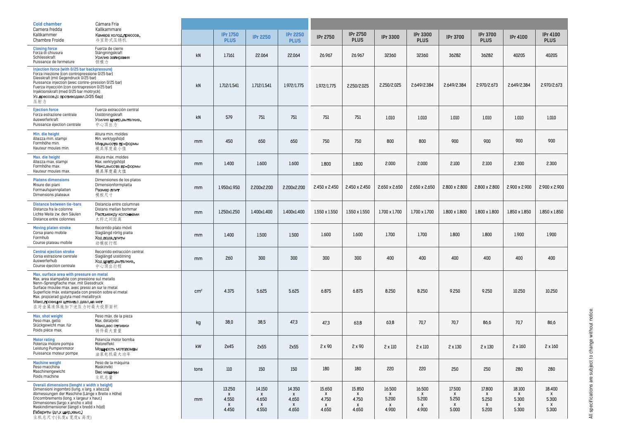| <b>Cold chamber</b><br>Camera fredda                                                                                                                                                                                                                                                                                                                  | Cámara Fría<br>Kallkammare                                                            |                 |                                                                       |                                                                       |                                                                                    |                                    |                                                            |                                    |                                                          |                                    |                                                          |                                    |                                               |  |
|-------------------------------------------------------------------------------------------------------------------------------------------------------------------------------------------------------------------------------------------------------------------------------------------------------------------------------------------------------|---------------------------------------------------------------------------------------|-----------------|-----------------------------------------------------------------------|-----------------------------------------------------------------------|------------------------------------------------------------------------------------|------------------------------------|------------------------------------------------------------|------------------------------------|----------------------------------------------------------|------------------------------------|----------------------------------------------------------|------------------------------------|-----------------------------------------------|--|
| Kaltkammer<br><b>Chambre Froide</b>                                                                                                                                                                                                                                                                                                                   | Камера холод.прессов.<br>冷室卧式压铸机                                                      |                 | <b>IPr 1750</b><br><b>PLUS</b>                                        | <b>IPr 2250</b>                                                       | <b>IPr 2250</b><br><b>PLUS</b>                                                     | <b>IPr 2750</b>                    | <b>IPr 2750</b><br><b>PLUS</b>                             | <b>IPr 3300</b>                    | <b>IPr 3300</b><br><b>PLUS</b>                           | <b>IPr 3700</b>                    | <b>IPr 3700</b><br><b>PLUS</b>                           | <b>IPr 4100</b>                    | <b>IPr 4100</b><br><b>PLUS</b>                |  |
| <b>Closing force</b><br>Forza di chiusura<br>Schliesskraft<br>Puissance de fermeture                                                                                                                                                                                                                                                                  | Fuerza de cierre<br>Stängningskraft<br>Усилие запирания<br>锁模力                        | kN              | 1.7161                                                                | 22.064                                                                | 22.064                                                                             | 26.967                             | 26.967                                                     | 32360                              | 32360                                                    | 36282                              | 36282                                                    | 40205                              | 40205                                         |  |
| Injection force (with 0/25 bar backpressure)<br>Forza iniezione (con contropressione 0/25 bar)<br>Giesskraft (mit Gegendruck 0/25 bar)<br>Puissance injection (avec contre-pression 0/25 bar)<br>Fuerza inyección (con contrapresion 0/25 bar)<br>Injektionskraft (med 0/25 bar mottryck)<br>Ус. прессов. (с противодавл. 0/25 бар)<br>压射力            |                                                                                       | kN              | 1.712/1.541                                                           | 1.712/1.541                                                           | 1.972/1.775                                                                        | 1.972/1.775                        | 2.250/2.025                                                | 2.250/2.025                        | 2.649/2.384                                              | 2.649/2.384                        | 2.970/2.673                                              | 2.649/2.384                        | 2.970/2.673                                   |  |
| <b>Ejection force</b><br>Forza estrazione centrale<br>Auswerferkraft<br>Puissance éjection centrale                                                                                                                                                                                                                                                   | Fuerza extracción central<br>Utstötningskraft<br>Усилие центр.выталкив.<br>中心顶出力      | kN              | 579                                                                   | 751                                                                   | 751                                                                                | 751                                | 751                                                        | 1.010                              | 1.010                                                    | 1.010                              | 1.010                                                    | 1.010                              | 1.010                                         |  |
| Min. die height<br>Altezza min. stampi<br>Formhöhe min.<br>Hauteur moules min.                                                                                                                                                                                                                                                                        | Altura min. moldes<br>Min. verktygshöjd<br>Мин.высота пр-формы<br>模具厚度最小值             | mm              | 450                                                                   | 650                                                                   | 650                                                                                | 750                                | 750                                                        | 800                                | 800                                                      | 900                                | 900                                                      | 900                                | 900                                           |  |
| Max. die height<br>Altezza max. stampi<br>Formhöhe max.<br>Hauteur moules max.                                                                                                                                                                                                                                                                        | Altura máx, moldes<br>Max. verktygshöjd<br>Макс.высота пр-формы<br>模具厚度最大值            | mm              | 1.400                                                                 | 1.600                                                                 | 1.600                                                                              | 1.800                              | 1.800                                                      | 2.000                              | 2.000                                                    | 2.100                              | 2.100                                                    | 2.300                              | 2.300                                         |  |
| <b>Platens dimensions</b><br>Misure dei piani<br>Formaufspannplatten<br>Dimensions plateaux                                                                                                                                                                                                                                                           | Dimensiones de los platos<br>Dimensionformplatta<br>Размер плит<br>模板尺寸               | mm              | 1.950x1.950                                                           | 2.200x2.200                                                           | 2.200x2.200                                                                        | 2.450 x 2.450                      | 2.450 x 2.450                                              | 2.650 x 2.650                      | 2.650 x 2.650                                            | 2.800 x 2.800                      | $2.800 \times 2.800$                                     | 2.900 x 2.900                      | 2.900 x 2.900                                 |  |
| <b>Distance between tie-bars</b><br>Distanza fra le colonne<br>Lichte Weite zw. den Säulen<br>Distance entre colonnes                                                                                                                                                                                                                                 | Distancia entre columnas<br>Distans mellan bommar<br>Раст.между колоннами<br>大杆之间距离   | mm              | 1.250x1.250                                                           | 1.400x1.400                                                           | 1.400x1.400                                                                        | $1.550 \times 1.550$               | 1.550 x 1.550                                              | 1.700 x 1.700                      | $1.700 \times 1.700$                                     | 1.800 x 1.800                      | 1.800 x 1.800                                            | 1.850 x 1.850                      | 1.850 x 1.850                                 |  |
| <b>Moving platen stroke</b><br>Corsa piano mobile<br>Formhub<br>Course plateau mobile                                                                                                                                                                                                                                                                 | Recorrido plato móvil<br>Slaglängd rörlig piatta<br>Ход подв.плиты<br>动模板行程           | mm              | 1.400                                                                 | 1.500                                                                 | 1.500                                                                              | 1.600                              | 1.600                                                      | 1.700                              | 1.700                                                    | 1.800                              | 1.800                                                    | 1.900                              | 1.900                                         |  |
| <b>Central ejection stroke</b><br>Corsa estrazione centrale<br>Auswerferhub<br>Course éjection centrale                                                                                                                                                                                                                                               | Recorrido extracción central<br>Slaglängd utstötning<br>Ход центр.выталкив.<br>中心顶出行程 | mm              | 260                                                                   | 300                                                                   | 300                                                                                | 300                                | 300                                                        | 400                                | 400                                                      | 400                                | 400                                                      | 400                                | 400                                           |  |
| Max. surface area with pressure on metal<br>Max. area stampabile con pressione sul metallo<br>Nenn-Sprengflache max. mit Giessdruck<br>Surface moulée max. avec pressi an sur le metal<br>Superficie màx. estampada con presión sobre el metal<br>Max. projicerad gjutyta med metalltryck<br>Макс.проекция штамп.с давл.на мет<br>在对金属液体施加下述压力时最大投影面积 |                                                                                       | cm <sup>2</sup> | 4.375                                                                 | 5.625                                                                 | 5.625                                                                              | 6.875                              | 6.875                                                      | 8.250                              | 8.250                                                    | 9.250                              | 9.250                                                    | 10.250                             | 10.250                                        |  |
| <b>Max. shot weight</b><br>Peso max. getto<br>Stückgewicht max. für<br>Poids pièce max.                                                                                                                                                                                                                                                               | Peso màx. de la pieza<br>Max. detaljvikt<br>Макс.вес отливки<br>铸件最大重量                | kg              | 38,0                                                                  | 38,5                                                                  | 47,3                                                                               | 47,3                               | 63,8                                                       | 63,8                               | 70,7                                                     | 70,7                               | 86,6                                                     | 70,7                               | 86,6                                          |  |
| <b>Motor rating</b><br>Potenza motore pompa<br>Leistung Pumpenmotor<br>Puissance moteur pompe                                                                                                                                                                                                                                                         | Potencia motor bomba<br>Motoreffekt<br>Мощность мотопомпы<br>油泵电机最大功率                 | kW              | 2x45                                                                  | 2x55                                                                  | 2x55                                                                               | $2 \times 90$                      | $2 \times 90$                                              | $2 \times 110$                     | $2 \times 110$                                           | $2 \times 130$                     | $2 \times 130$                                           | $2 \times 160$                     | $2 \times 160$                                |  |
| <b>Machine weight</b><br>Peso macchina<br>Maschinengewicht<br>Poids machine                                                                                                                                                                                                                                                                           | Peso de la máquina<br>Maskinvikt<br>Вес машины<br>主机总量                                | tons            | $110\,$                                                               | 150                                                                   | 150                                                                                | 180                                | 180                                                        | 220                                | 220                                                      | 250                                | 250                                                      | 280                                | 280                                           |  |
| <b>Overall dimensions (lenght x width x height)</b><br>Dimensioni ingombro (lung. x larg. x altezza)<br>Abmessungen der Maschine (Länge x Breite x Höhe)<br>Encombrements (long. x largeur x haut.)<br>Dimensiones (largo x ancho x alto)<br>Maskindimensioner (längd x bredd x höjd)<br>Габариты (дл.х шир.хвыс.)<br>主机总尺寸(长度x宽度x高度)                 |                                                                                       | mm              | 13.250<br>$\mathsf{X}$<br>4.550<br>$\boldsymbol{\mathsf{x}}$<br>4.450 | 14.150<br>$\boldsymbol{\mathsf{x}}$<br>4.650<br>$\mathsf{x}$<br>4.550 | 14.350<br>$\boldsymbol{\mathsf{x}}$<br>4.650<br>$\boldsymbol{\mathsf{x}}$<br>4.650 | 15.650<br>X<br>4.750<br>X<br>4.650 | 15.850<br>$\boldsymbol{\mathsf{x}}$<br>4.750<br>X<br>4.650 | 16.500<br>X<br>5.200<br>X<br>4.900 | 16.500<br>$\mathsf{x}$<br>5.200<br>$\mathsf{x}$<br>4.900 | 17.500<br>X<br>5.250<br>X<br>5.000 | 17.800<br>$\mathsf{x}$<br>5.250<br>$\mathsf{x}$<br>5.200 | 18.100<br>X<br>5.300<br>X<br>5.300 | 18.400<br>X<br>5.300<br>$\mathsf{x}$<br>5.300 |  |

All specifications are subject to change without notice. All specifications are subject to change without notice.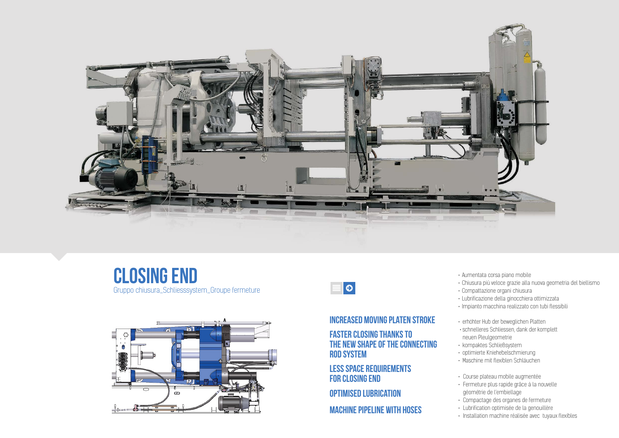

 $\equiv$ 





- 
- Aumentata corsa piano mobile Chiusura più veloce grazie alla nuova geometria del biellismo
- Compattazione organi chiusura
- Lubrificazione della ginocchiera ottimizzata
- Impianto macchina realizzato con tubi flessibili
- erhöhter Hub der beweglichen Platten
- schnelleres Schliessen, dank der komplett
- neuen Pleulgeometrie
- kompaktes Schließsystem
- optimierte Kniehebelschmierung
- Maschine mit flexiblen Schläuchen

• Course plateau mobile augmentée • Fermeture plus rapide grâce à la nouvelle

- 
- géométrie de l'embiellage
- Compactage des organes de fermeture Lubrification optimisée de la genouillère
	-
- Installation machine réalisée avec tuyaux flexibles

4

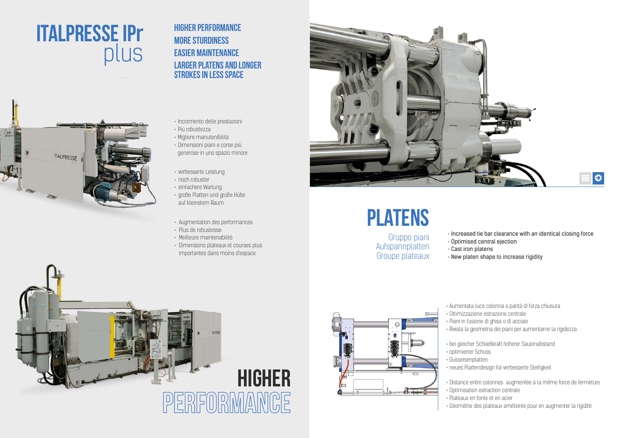## HIGHER PERFORMANCE MORE STURDINESS EASIER MAINTENANCE LARGER PLATENS AND LONGER STROKES IN LESS SPACE

- Incremento delle prestazioni
- Più robustezza
- Migliore manutenibilità
- Dimensioni piani e corse più generose in uno spazio minore
- verbesserte Leistung
- noch robuster
- einfachere Wartung
- große Platten und große Hübe auf kleinstem Raum
- Augmentation des performances
- Plus de robustesse
- Meilleure maintenabilité
- Dimensions plateaux et courses plus importantes dans moins d'espace

## ITALPRESSE IPr plus



# PLATENS

Gruppo piani Aufspannplatten Groupe plateaux

 $\mathbf{u}$ 

- Increased tie bar clearance with an identical closing force
- Optimised central ejection
- Cast iron platens • New platen shape to increase rigidity
- Aumentata luce colonna a parità di forza chiusura
- Ottimizzazione estrazione centrale
- 

 $\mathbb{T}$ 

- Piani in fusione di ghisa o di acciaio
- Rivista la geometria dei piani per aumentarne la rigidezza
- bei gleicher Schließkraft höherer Säulenabstand
- optimierter Schuss
- Gusseisenplatten
- Distance entre colonnes augmentée à la même force de fermeture • Optimisation extraction centrale
- 
- 
- 
- neues Plattendesign für verbesserte Steifigkeit
- 
- 
- Plateaux en fonte et en acier • Géométrie des plateaux améliorée pour en augmenter la rigidité



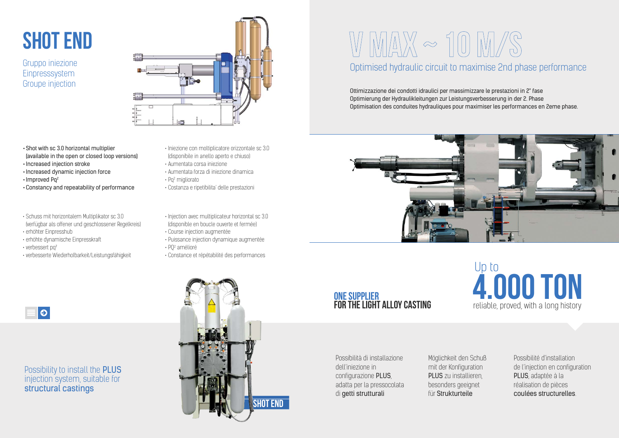- Iniezione con moltiplicatore orizzontale sc 3.0 (disponibile in anello aperto e chiuso)
- Aumentata corsa iniezione
- Aumentata forza di iniezione dinamica
- Pq<sup>2</sup> migliorato
- Costanza e ripetibilita' delle prestazioni
- Injection avec multiplicateur horizontal sc 3.0 (disponible en boucle ouverte et fermée)
- Course injection augmentée
- Puissance injection dynamique augmentée
- PQ<sup>2</sup> amélioré
- Constance et répétabilité des performances
- 
- •Shot with sc 3.0 horizontal multiplier (available in the open or closed loop versions)
- Increased injection stroke
- Increased dynamic injection force
- Improved Pq2
- •Constancy and repeatability of performance
- Schuss mit horizontalem Multiplikator sc 3.0 (verfügbar als offener und geschlossener Regelkreis)
- erhöhter Einpresshub
- erhöhte dynamische Einpresskraft
- verbessert pa<sup>2</sup>
- verbesserte Wiederholbarkeit/Leistungsfähigkeit

## Optimised hydraulic circuit to maximise 2nd phase performance

Ottimizzazione dei condotti idraulici per massimizzare le prestazioni in 2° fase Optimierung der Hydraulikleitungen zur Leistungsverbesserung in der 2. Phase Optimisation des conduites hydrauliques pour maximiser les performances en 2eme phase.



## ONE SUPPLIER<br>FOR THE LIGHT ALLOY CASTING

#### Possibility to install the PLUS injection system, suitable for structural castings

Possibilità di installazione dell'iniezione in configurazione PLUS, adatta per la pressocolata di getti strutturali



# VMAX ~ 10 M/S

# SHOT END

Gruppo iniezione Einpresssystem Groupe injection



Möglichkeit den Schuß mit der Konfiguration PLUS zu installieren, besonders geeignet für Strukturteile



Possibilité d'installation de l'injection en configuration PLUS, adaptée à la réalisation de pièces coulées structurelles.